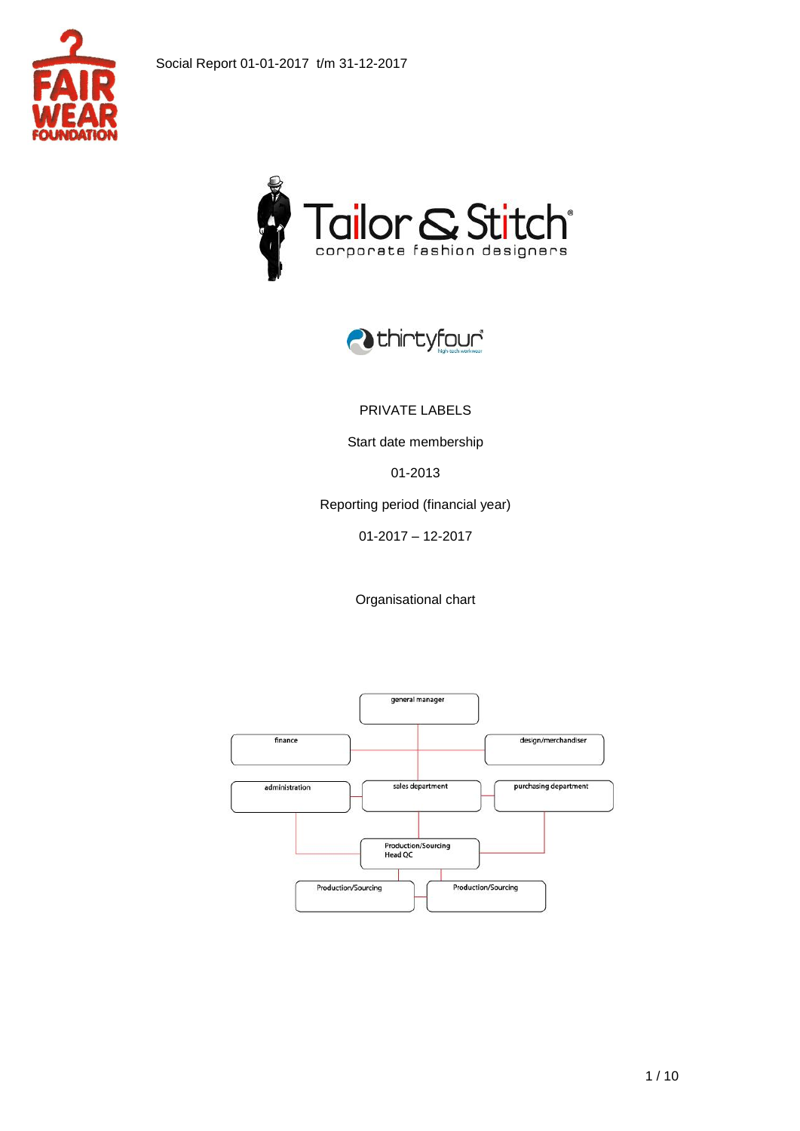





### PRIVATE LABELS

Start date membership

01-2013

Reporting period (financial year)

01-2017 – 12-2017

Organisational chart

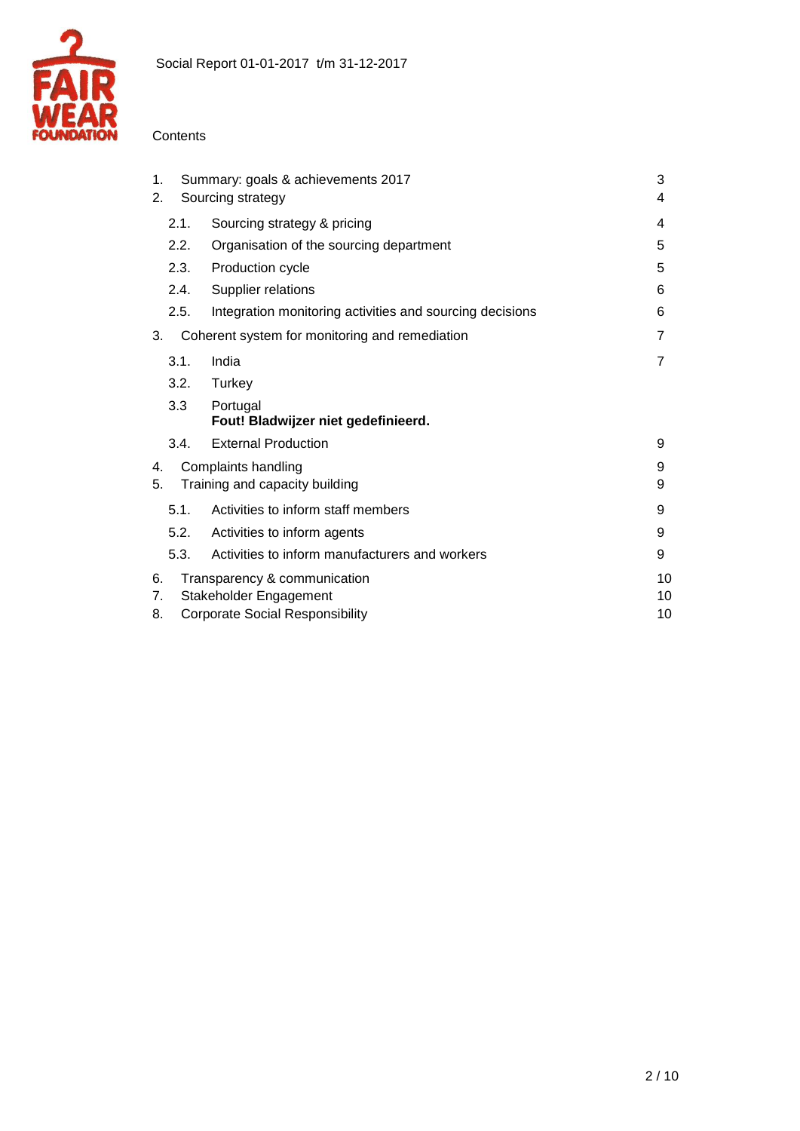

#### **Contents**

| 1.<br>2.       |                                                                                                                    | Summary: goals & achievements 2017<br>Sourcing strategy  | 3<br>4 |
|----------------|--------------------------------------------------------------------------------------------------------------------|----------------------------------------------------------|--------|
|                | 2.1.                                                                                                               | Sourcing strategy & pricing                              | 4      |
|                | 2.2.                                                                                                               | Organisation of the sourcing department                  | 5      |
|                | 2.3.                                                                                                               | Production cycle                                         | 5      |
|                | 2.4.                                                                                                               | Supplier relations                                       | 6      |
|                | 2.5.                                                                                                               | Integration monitoring activities and sourcing decisions | 6      |
| 3.             | Coherent system for monitoring and remediation                                                                     |                                                          | 7      |
|                | 3.1.                                                                                                               | India                                                    | 7      |
|                | 3.2.                                                                                                               | Turkey                                                   |        |
|                | 3.3                                                                                                                | Portugal<br>Fout! Bladwijzer niet gedefinieerd.          |        |
|                | 3.4.                                                                                                               | <b>External Production</b>                               | 9      |
| 4.             |                                                                                                                    | Complaints handling                                      | 9      |
| 5.             |                                                                                                                    | Training and capacity building                           | 9      |
|                | 5.1.                                                                                                               | Activities to inform staff members                       | 9      |
|                | 5.2.                                                                                                               | Activities to inform agents                              | 9      |
|                | 5.3.                                                                                                               | Activities to inform manufacturers and workers           | 9      |
| 6.<br>7.<br>8. | 10<br>Transparency & communication<br>Stakeholder Engagement<br>10<br><b>Corporate Social Responsibility</b><br>10 |                                                          |        |
|                |                                                                                                                    |                                                          |        |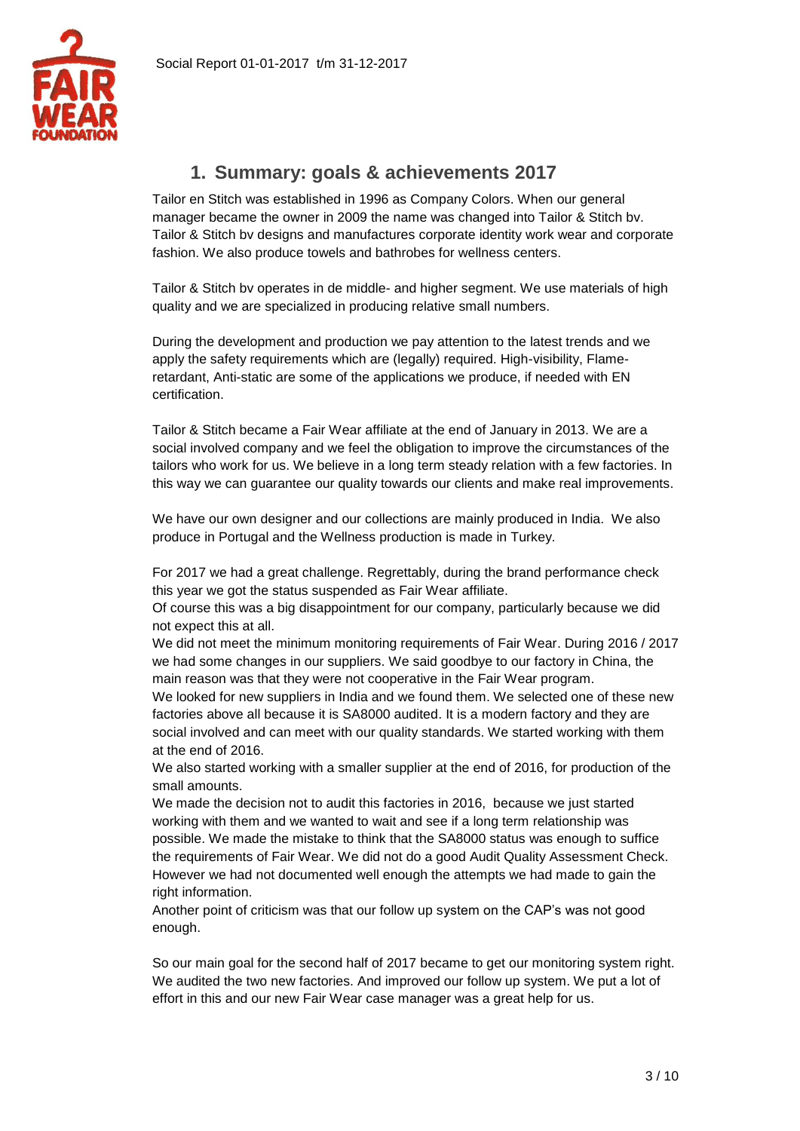

## <span id="page-2-0"></span>**1. Summary: goals & achievements 2017**

Tailor en Stitch was established in 1996 as Company Colors. When our general manager became the owner in 2009 the name was changed into Tailor & Stitch bv. Tailor & Stitch bv designs and manufactures corporate identity work wear and corporate fashion. We also produce towels and bathrobes for wellness centers.

Tailor & Stitch bv operates in de middle- and higher segment. We use materials of high quality and we are specialized in producing relative small numbers.

During the development and production we pay attention to the latest trends and we apply the safety requirements which are (legally) required. High-visibility, Flameretardant, Anti-static are some of the applications we produce, if needed with EN certification.

Tailor & Stitch became a Fair Wear affiliate at the end of January in 2013. We are a social involved company and we feel the obligation to improve the circumstances of the tailors who work for us. We believe in a long term steady relation with a few factories. In this way we can guarantee our quality towards our clients and make real improvements.

We have our own designer and our collections are mainly produced in India. We also produce in Portugal and the Wellness production is made in Turkey.

For 2017 we had a great challenge. Regrettably, during the brand performance check this year we got the status suspended as Fair Wear affiliate.

Of course this was a big disappointment for our company, particularly because we did not expect this at all.

We did not meet the minimum monitoring requirements of Fair Wear. During 2016 / 2017 we had some changes in our suppliers. We said goodbye to our factory in China, the main reason was that they were not cooperative in the Fair Wear program.

We looked for new suppliers in India and we found them. We selected one of these new factories above all because it is SA8000 audited. It is a modern factory and they are social involved and can meet with our quality standards. We started working with them at the end of 2016.

We also started working with a smaller supplier at the end of 2016, for production of the small amounts.

We made the decision not to audit this factories in 2016, because we just started working with them and we wanted to wait and see if a long term relationship was possible. We made the mistake to think that the SA8000 status was enough to suffice the requirements of Fair Wear. We did not do a good Audit Quality Assessment Check. However we had not documented well enough the attempts we had made to gain the right information.

Another point of criticism was that our follow up system on the CAP's was not good enough.

So our main goal for the second half of 2017 became to get our monitoring system right. We audited the two new factories. And improved our follow up system. We put a lot of effort in this and our new Fair Wear case manager was a great help for us.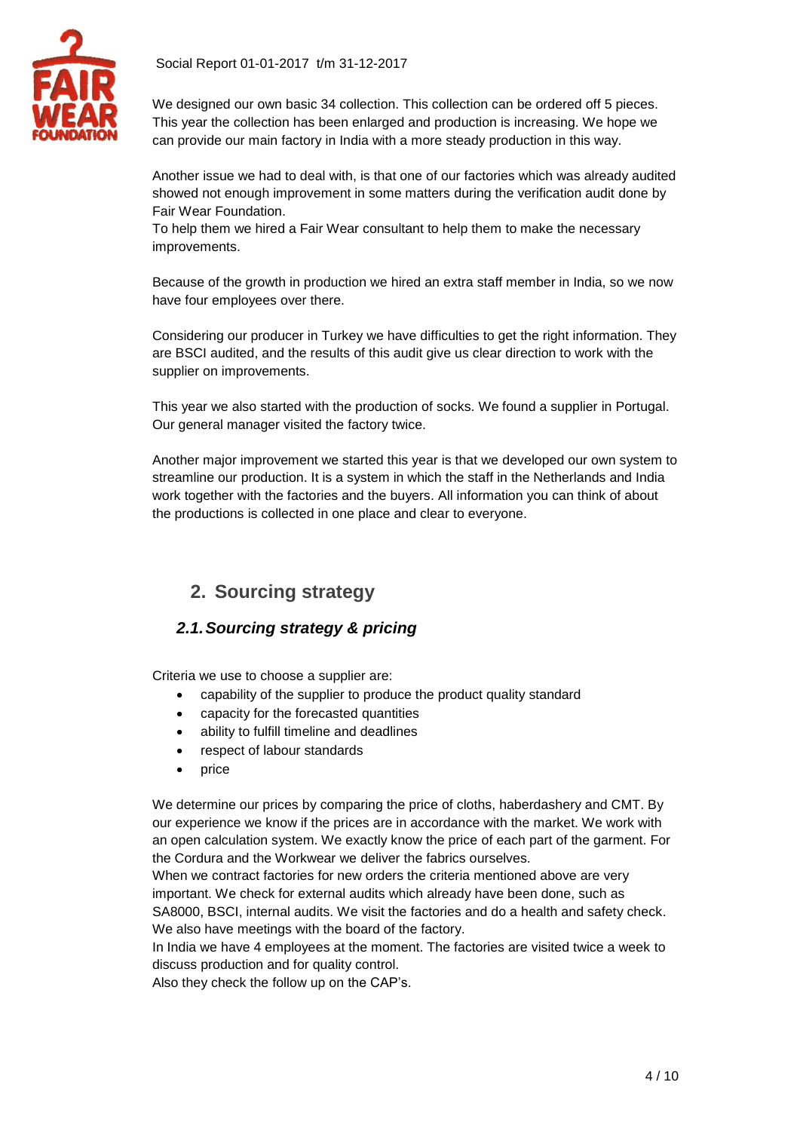

We designed our own basic 34 collection. This collection can be ordered off 5 pieces. This year the collection has been enlarged and production is increasing. We hope we can provide our main factory in India with a more steady production in this way.

Another issue we had to deal with, is that one of our factories which was already audited showed not enough improvement in some matters during the verification audit done by Fair Wear Foundation.

To help them we hired a Fair Wear consultant to help them to make the necessary improvements.

Because of the growth in production we hired an extra staff member in India, so we now have four employees over there.

Considering our producer in Turkey we have difficulties to get the right information. They are BSCI audited, and the results of this audit give us clear direction to work with the supplier on improvements.

This year we also started with the production of socks. We found a supplier in Portugal. Our general manager visited the factory twice.

Another major improvement we started this year is that we developed our own system to streamline our production. It is a system in which the staff in the Netherlands and India work together with the factories and the buyers. All information you can think of about the productions is collected in one place and clear to everyone.

## <span id="page-3-0"></span>**2. Sourcing strategy**

## <span id="page-3-1"></span>*2.1.Sourcing strategy & pricing*

Criteria we use to choose a supplier are:

- capability of the supplier to produce the product quality standard
- capacity for the forecasted quantities
- ability to fulfill timeline and deadlines
- respect of labour standards
- price

We determine our prices by comparing the price of cloths, haberdashery and CMT. By our experience we know if the prices are in accordance with the market. We work with an open calculation system. We exactly know the price of each part of the garment. For the Cordura and the Workwear we deliver the fabrics ourselves.

When we contract factories for new orders the criteria mentioned above are very important. We check for external audits which already have been done, such as SA8000, BSCI, internal audits. We visit the factories and do a health and safety check. We also have meetings with the board of the factory.

In India we have 4 employees at the moment. The factories are visited twice a week to discuss production and for quality control.

Also they check the follow up on the CAP's.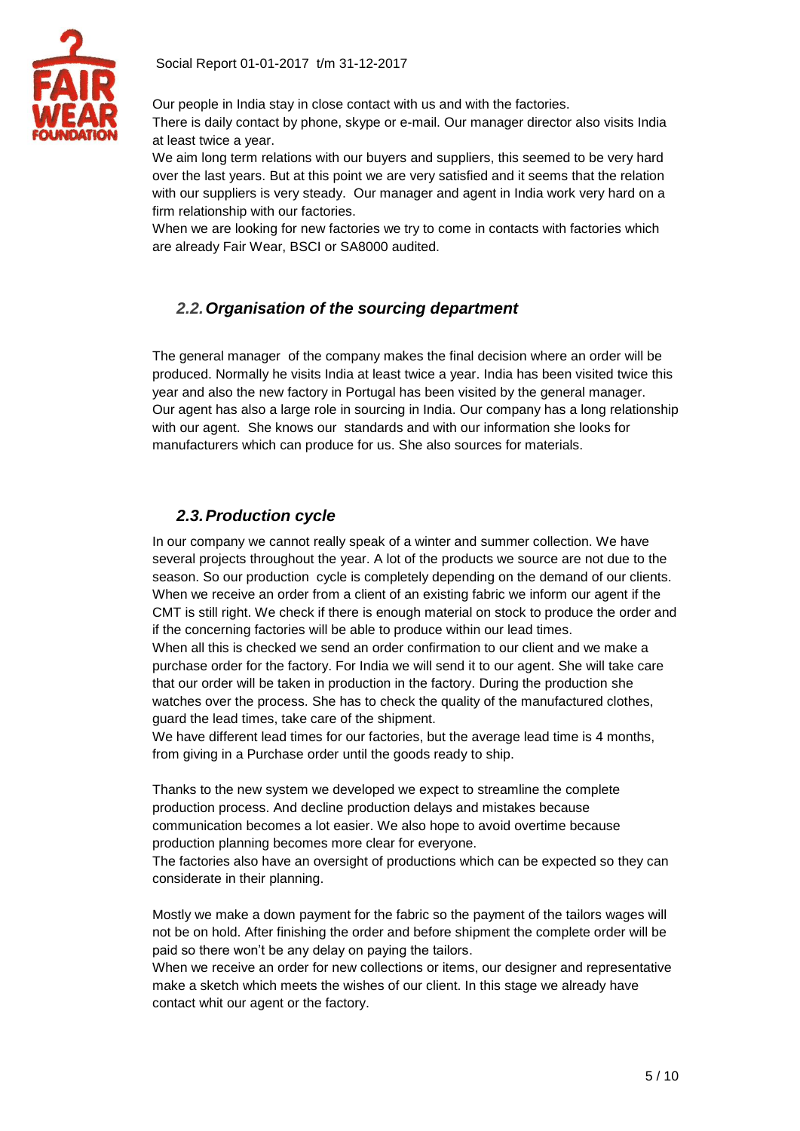

Our people in India stay in close contact with us and with the factories.

There is daily contact by phone, skype or e-mail. Our manager director also visits India at least twice a year.

We aim long term relations with our buyers and suppliers, this seemed to be very hard over the last years. But at this point we are very satisfied and it seems that the relation with our suppliers is very steady. Our manager and agent in India work very hard on a firm relationship with our factories.

When we are looking for new factories we try to come in contacts with factories which are already Fair Wear, BSCI or SA8000 audited.

## <span id="page-4-0"></span>*2.2.Organisation of the sourcing department*

The general manager of the company makes the final decision where an order will be produced. Normally he visits India at least twice a year. India has been visited twice this year and also the new factory in Portugal has been visited by the general manager. Our agent has also a large role in sourcing in India. Our company has a long relationship with our agent. She knows our standards and with our information she looks for manufacturers which can produce for us. She also sources for materials.

## <span id="page-4-1"></span>*2.3.Production cycle*

In our company we cannot really speak of a winter and summer collection. We have several projects throughout the year. A lot of the products we source are not due to the season. So our production cycle is completely depending on the demand of our clients. When we receive an order from a client of an existing fabric we inform our agent if the CMT is still right. We check if there is enough material on stock to produce the order and if the concerning factories will be able to produce within our lead times.

When all this is checked we send an order confirmation to our client and we make a purchase order for the factory. For India we will send it to our agent. She will take care that our order will be taken in production in the factory. During the production she watches over the process. She has to check the quality of the manufactured clothes, guard the lead times, take care of the shipment.

We have different lead times for our factories, but the average lead time is 4 months, from giving in a Purchase order until the goods ready to ship.

Thanks to the new system we developed we expect to streamline the complete production process. And decline production delays and mistakes because communication becomes a lot easier. We also hope to avoid overtime because production planning becomes more clear for everyone.

The factories also have an oversight of productions which can be expected so they can considerate in their planning.

Mostly we make a down payment for the fabric so the payment of the tailors wages will not be on hold. After finishing the order and before shipment the complete order will be paid so there won't be any delay on paying the tailors.

When we receive an order for new collections or items, our designer and representative make a sketch which meets the wishes of our client. In this stage we already have contact whit our agent or the factory.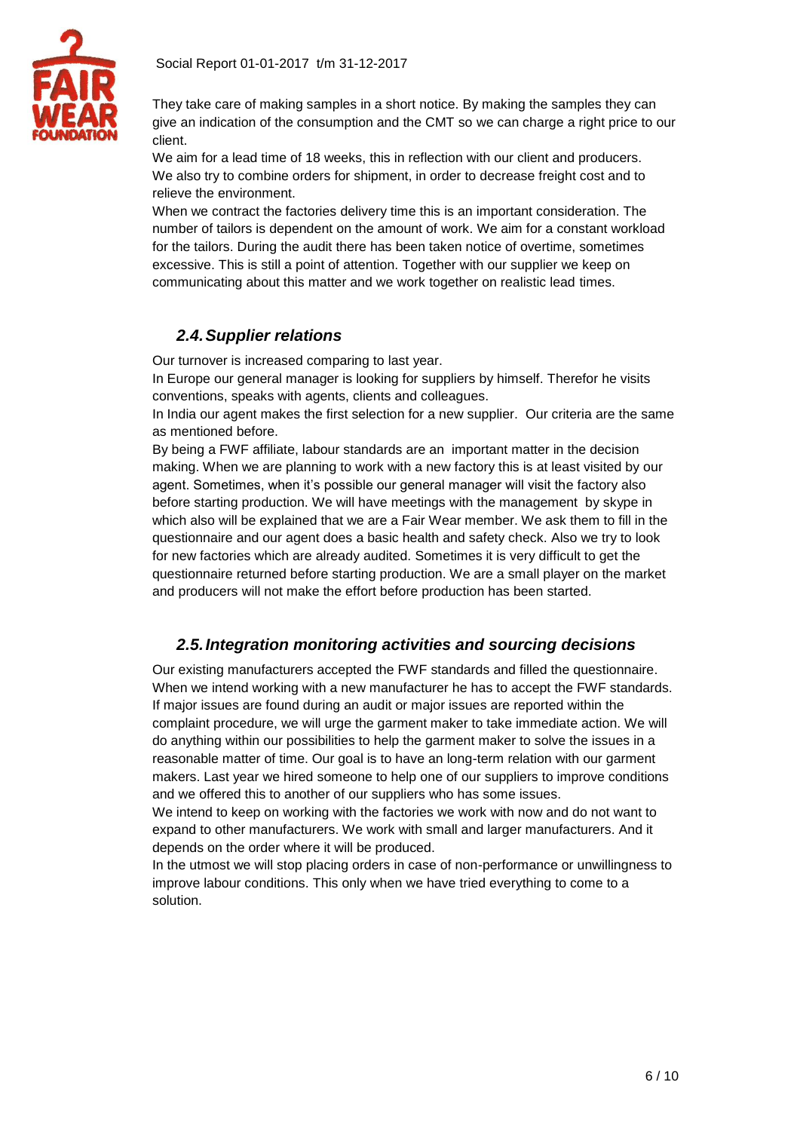

They take care of making samples in a short notice. By making the samples they can give an indication of the consumption and the CMT so we can charge a right price to our client.

We aim for a lead time of 18 weeks, this in reflection with our client and producers. We also try to combine orders for shipment, in order to decrease freight cost and to relieve the environment.

When we contract the factories delivery time this is an important consideration. The number of tailors is dependent on the amount of work. We aim for a constant workload for the tailors. During the audit there has been taken notice of overtime, sometimes excessive. This is still a point of attention. Together with our supplier we keep on communicating about this matter and we work together on realistic lead times.

## <span id="page-5-0"></span>*2.4.Supplier relations*

Our turnover is increased comparing to last year.

In Europe our general manager is looking for suppliers by himself. Therefor he visits conventions, speaks with agents, clients and colleagues.

In India our agent makes the first selection for a new supplier. Our criteria are the same as mentioned before.

By being a FWF affiliate, labour standards are an important matter in the decision making. When we are planning to work with a new factory this is at least visited by our agent. Sometimes, when it's possible our general manager will visit the factory also before starting production. We will have meetings with the management by skype in which also will be explained that we are a Fair Wear member. We ask them to fill in the questionnaire and our agent does a basic health and safety check. Also we try to look for new factories which are already audited. Sometimes it is very difficult to get the questionnaire returned before starting production. We are a small player on the market and producers will not make the effort before production has been started.

## <span id="page-5-1"></span>*2.5.Integration monitoring activities and sourcing decisions*

Our existing manufacturers accepted the FWF standards and filled the questionnaire. When we intend working with a new manufacturer he has to accept the FWF standards. If major issues are found during an audit or major issues are reported within the complaint procedure, we will urge the garment maker to take immediate action. We will do anything within our possibilities to help the garment maker to solve the issues in a reasonable matter of time. Our goal is to have an long-term relation with our garment makers. Last year we hired someone to help one of our suppliers to improve conditions and we offered this to another of our suppliers who has some issues.

We intend to keep on working with the factories we work with now and do not want to expand to other manufacturers. We work with small and larger manufacturers. And it depends on the order where it will be produced.

In the utmost we will stop placing orders in case of non-performance or unwillingness to improve labour conditions. This only when we have tried everything to come to a solution.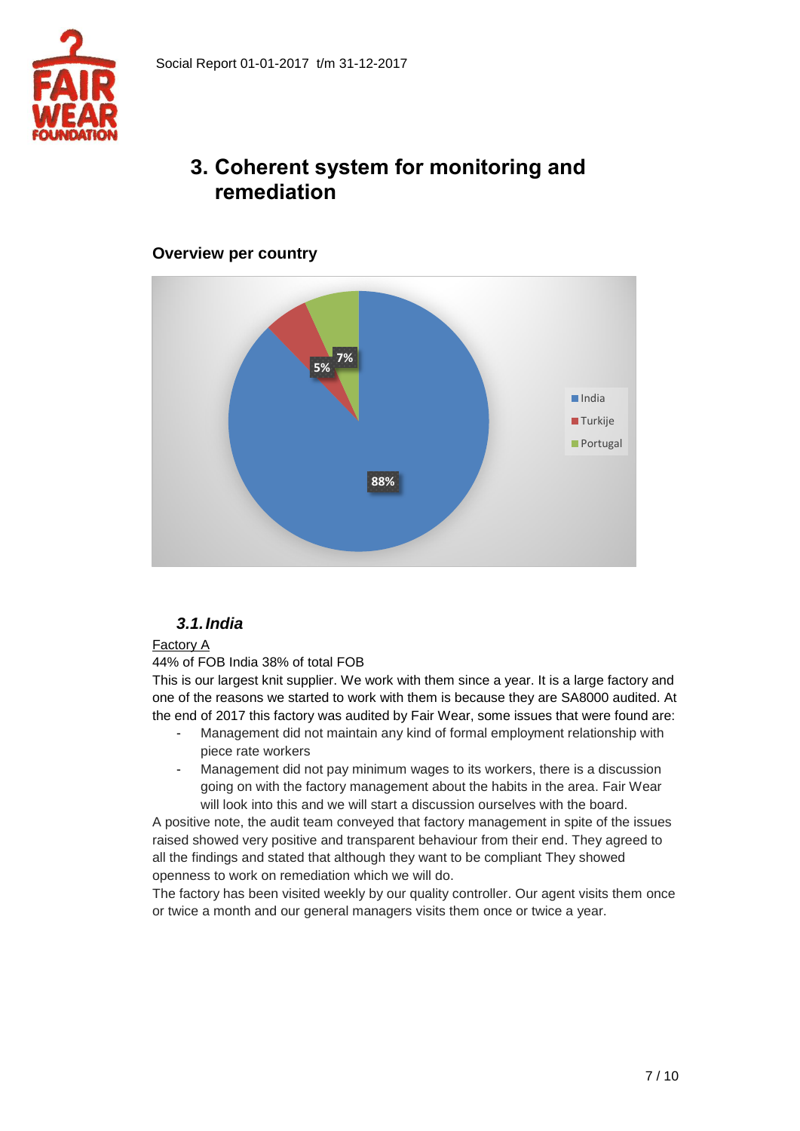

# <span id="page-6-0"></span>**3. Coherent system for monitoring and remediation**

## **Overview per country**



## *3.1.India*

### <span id="page-6-1"></span>Factory A

44% of FOB India 38% of total FOB

This is our largest knit supplier. We work with them since a year. It is a large factory and one of the reasons we started to work with them is because they are SA8000 audited. At the end of 2017 this factory was audited by Fair Wear, some issues that were found are:

- Management did not maintain any kind of formal employment relationship with piece rate workers
- Management did not pay minimum wages to its workers, there is a discussion going on with the factory management about the habits in the area. Fair Wear will look into this and we will start a discussion ourselves with the board.

A positive note, the audit team conveyed that factory management in spite of the issues raised showed very positive and transparent behaviour from their end. They agreed to all the findings and stated that although they want to be compliant They showed openness to work on remediation which we will do.

The factory has been visited weekly by our quality controller. Our agent visits them once or twice a month and our general managers visits them once or twice a year.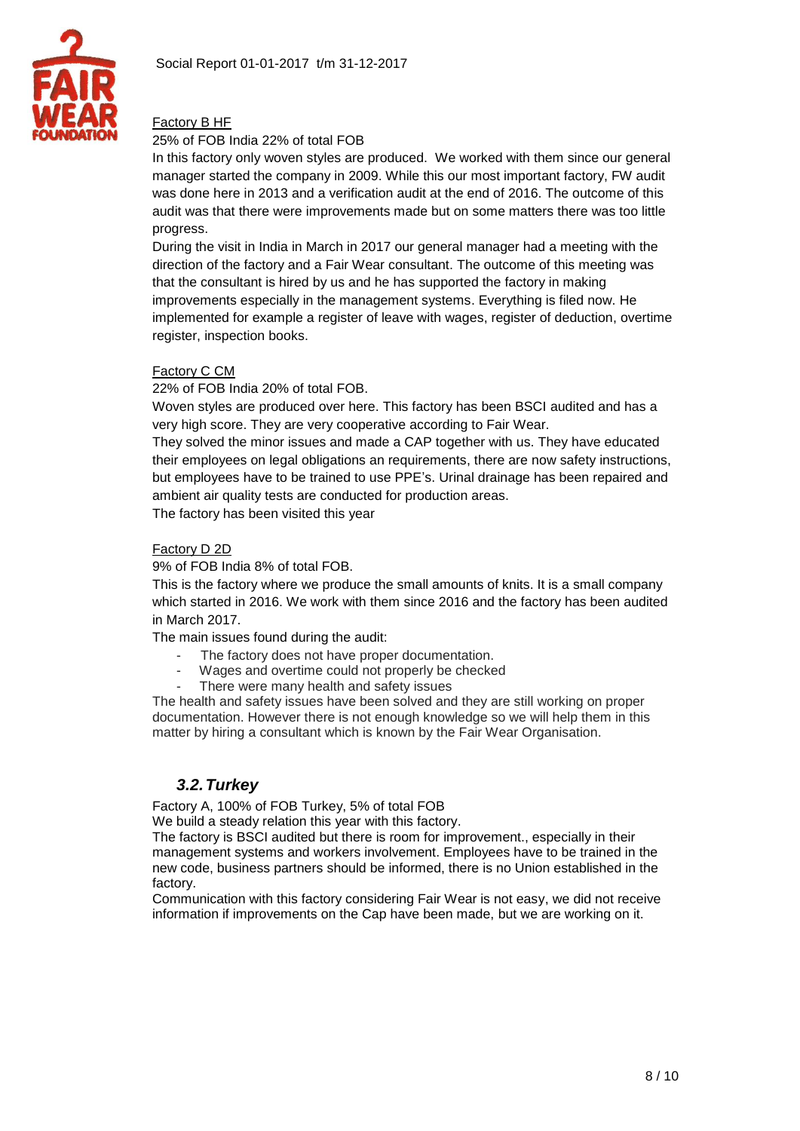

#### Factory B HF

#### 25% of FOB India 22% of total FOB

In this factory only woven styles are produced. We worked with them since our general manager started the company in 2009. While this our most important factory, FW audit was done here in 2013 and a verification audit at the end of 2016. The outcome of this audit was that there were improvements made but on some matters there was too little progress.

During the visit in India in March in 2017 our general manager had a meeting with the direction of the factory and a Fair Wear consultant. The outcome of this meeting was that the consultant is hired by us and he has supported the factory in making improvements especially in the management systems. Everything is filed now. He implemented for example a register of leave with wages, register of deduction, overtime register, inspection books.

#### Factory C CM

22% of FOB India 20% of total FOB.

Woven styles are produced over here. This factory has been BSCI audited and has a very high score. They are very cooperative according to Fair Wear.

They solved the minor issues and made a CAP together with us. They have educated their employees on legal obligations an requirements, there are now safety instructions, but employees have to be trained to use PPE's. Urinal drainage has been repaired and ambient air quality tests are conducted for production areas.

The factory has been visited this year

#### Factory D 2D

9% of FOB India 8% of total FOB.

This is the factory where we produce the small amounts of knits. It is a small company which started in 2016. We work with them since 2016 and the factory has been audited in March 2017.

The main issues found during the audit:

- The factory does not have proper documentation.
- Wages and overtime could not properly be checked
- There were many health and safety issues

The health and safety issues have been solved and they are still working on proper documentation. However there is not enough knowledge so we will help them in this matter by hiring a consultant which is known by the Fair Wear Organisation.

### *3.2.Turkey*

Factory A, 100% of FOB Turkey, 5% of total FOB

We build a steady relation this year with this factory.

The factory is BSCI audited but there is room for improvement., especially in their management systems and workers involvement. Employees have to be trained in the new code, business partners should be informed, there is no Union established in the factory.

Communication with this factory considering Fair Wear is not easy, we did not receive information if improvements on the Cap have been made, but we are working on it.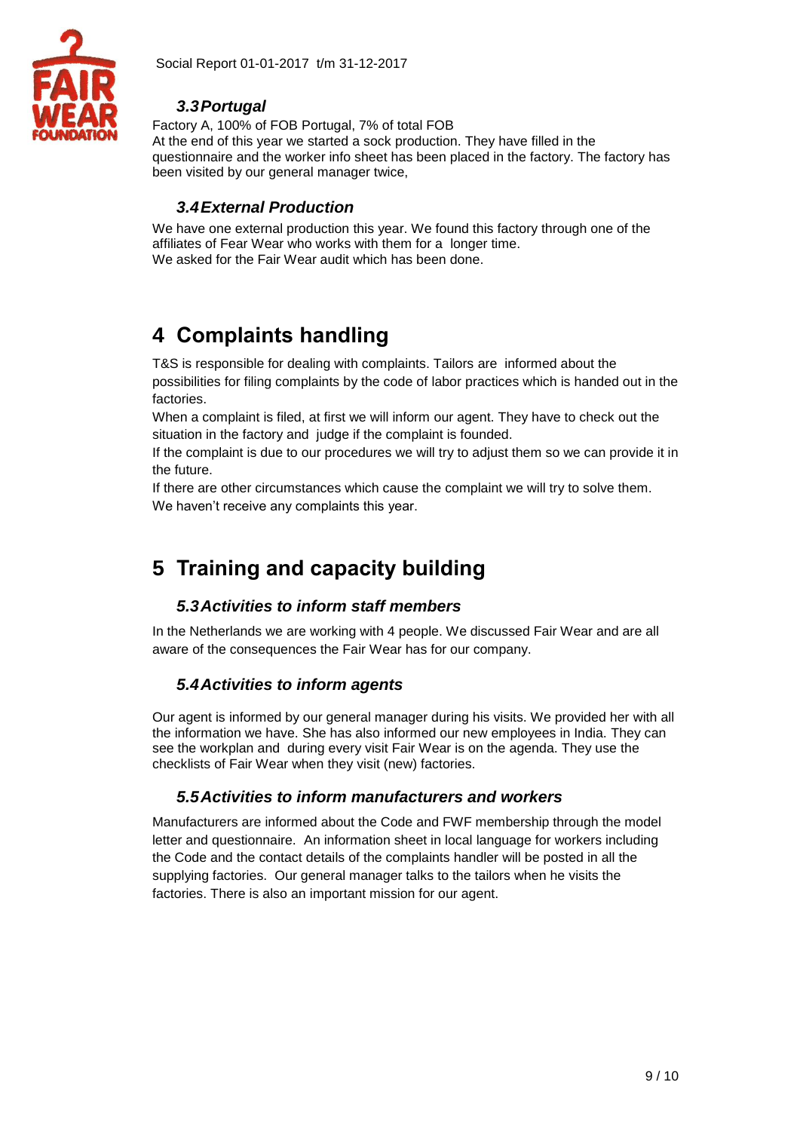

## *3.3Portugal*

Factory A, 100% of FOB Portugal, 7% of total FOB At the end of this year we started a sock production. They have filled in the questionnaire and the worker info sheet has been placed in the factory. The factory has been visited by our general manager twice,

## *3.4External Production*

<span id="page-8-0"></span>We have one external production this year. We found this factory through one of the affiliates of Fear Wear who works with them for a longer time. We asked for the Fair Wear audit which has been done.

# <span id="page-8-1"></span>**4 Complaints handling**

T&S is responsible for dealing with complaints. Tailors are informed about the possibilities for filing complaints by the code of labor practices which is handed out in the factories.

When a complaint is filed, at first we will inform our agent. They have to check out the situation in the factory and judge if the complaint is founded.

If the complaint is due to our procedures we will try to adjust them so we can provide it in the future.

If there are other circumstances which cause the complaint we will try to solve them. We haven't receive any complaints this year.

# <span id="page-8-2"></span>**5 Training and capacity building**

## <span id="page-8-3"></span>*5.3Activities to inform staff members*

In the Netherlands we are working with 4 people. We discussed Fair Wear and are all aware of the consequences the Fair Wear has for our company.

## <span id="page-8-4"></span>*5.4Activities to inform agents*

Our agent is informed by our general manager during his visits. We provided her with all the information we have. She has also informed our new employees in India. They can see the workplan and during every visit Fair Wear is on the agenda. They use the checklists of Fair Wear when they visit (new) factories.

## *5.5Activities to inform manufacturers and workers*

<span id="page-8-5"></span>Manufacturers are informed about the Code and FWF membership through the model letter and questionnaire. An information sheet in local language for workers including the Code and the contact details of the complaints handler will be posted in all the supplying factories. Our general manager talks to the tailors when he visits the factories. There is also an important mission for our agent.